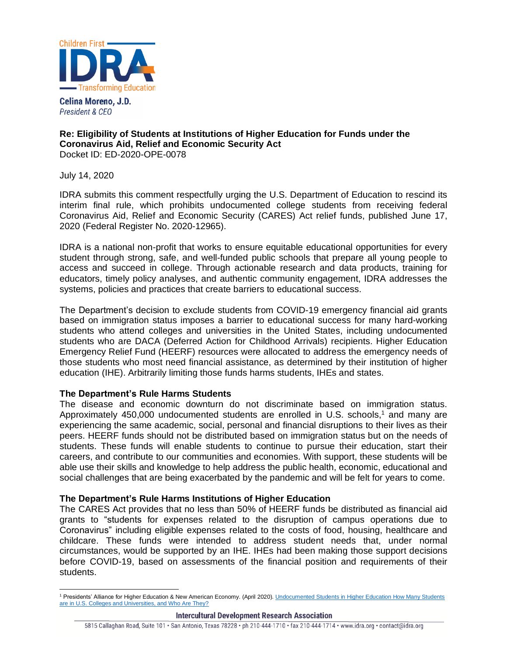

Celina Moreno, J.D. President & CEO

# **Re: Eligibility of Students at Institutions of Higher Education for Funds under the Coronavirus Aid, Relief and Economic Security Act** Docket ID: ED-2020-OPE-0078

July 14, 2020

IDRA submits this comment respectfully urging the U.S. Department of Education to rescind its interim final rule, which prohibits undocumented college students from receiving federal Coronavirus Aid, Relief and Economic Security (CARES) Act relief funds, published June 17, 2020 (Federal Register No. 2020-12965).

IDRA is a national non-profit that works to ensure equitable educational opportunities for every student through strong, safe, and well-funded public schools that prepare all young people to access and succeed in college. Through actionable research and data products, training for educators, timely policy analyses, and authentic community engagement, IDRA addresses the systems, policies and practices that create barriers to educational success.

The Department's decision to exclude students from COVID-19 emergency financial aid grants based on immigration status imposes a barrier to educational success for many hard-working students who attend colleges and universities in the United States, including undocumented students who are DACA (Deferred Action for Childhood Arrivals) recipients. Higher Education Emergency Relief Fund (HEERF) resources were allocated to address the emergency needs of those students who most need financial assistance, as determined by their institution of higher education (IHE). Arbitrarily limiting those funds harms students, IHEs and states.

# **The Department's Rule Harms Students**

The disease and economic downturn do not discriminate based on immigration status. Approximately 450,000 undocumented students are enrolled in U.S. schools,<sup>1</sup> and many are experiencing the same academic, social, personal and financial disruptions to their lives as their peers. HEERF funds should not be distributed based on immigration status but on the needs of students. These funds will enable students to continue to pursue their education, start their careers, and contribute to our communities and economies. With support, these students will be able use their skills and knowledge to help address the public health, economic, educational and social challenges that are being exacerbated by the pandemic and will be felt for years to come.

# **The Department's Rule Harms Institutions of Higher Education**

The CARES Act provides that no less than 50% of HEERF funds be distributed as financial aid grants to "students for expenses related to the disruption of campus operations due to Coronavirus" including eligible expenses related to the costs of food, housing, healthcare and childcare. These funds were intended to address student needs that, under normal circumstances, would be supported by an IHE. IHEs had been making those support decisions before COVID-19, based on assessments of the financial position and requirements of their students.

<sup>&</sup>lt;sup>1</sup> Presidents' Alliance for Higher Education & New American Economy. (April 2020). Undocumented Students in Higher Education How Many Students [are in U.S. Colleges and Universities, and Who Are They?](https://2wslav2505mz1d7rci3uuem8-wpengine.netdna-ssl.com/wp-content/uploads/2020/04/2020-04-16-NAE-PA-Report-Undocumented-Students-in-Higher-Education.pdf)